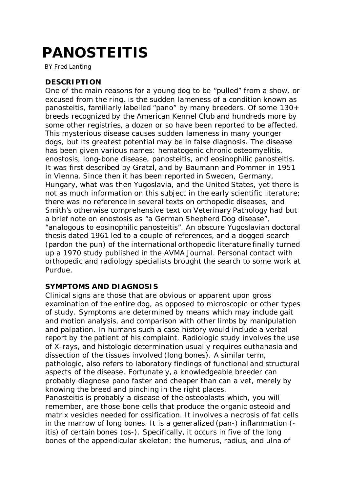# PANOSTEITIS

BY Fred Lanting

# **DESCRIPTION**

One of the main reasons for a young dog to be "pulled" from a show, or excused from the ring, is the sudden lameness of a condition known as panosteitis, familiarly labelled "pano" by many breeders. Of some 130+ breeds recognized by the American Kennel Club and hundreds more by some other registries, a dozen or so have been reported to be affected. This mysterious disease causes sudden lameness in many younger dogs, but its greatest potential may be in false diagnosis. The disease has been given various names: hematogenic chronic osteomyelitis, enostosis, long-bone disease, panosteitis, and eosinophilic panosteitis. It was first described by Gratzl, and by Baumann and Pommer in 1951 in Vienna. Since then it has been reported in Sweden, Germany, Hungary, what was then Yugoslavia, and the United States, yet there is not as much information on this subject in the early scientific literature; there was no reference in several texts on orthopedic diseases, and Smith's otherwise comprehensive text on Veterinary Pathology had but a brief note on enostosis as "a German Shepherd Dog disease", "analogous to eosinophilic panosteitis". An obscure Yugoslavian doctoral thesis dated 1961 led to a couple of references, and a dogged search (pardon the pun) of the international orthopedic literature finally turned up a 1970 study published in the AVMA Journal. Personal contact with orthopedic and radiology specialists brought the search to some work at Purdue.

# **SYMPTOMS AND DIAGNOSIS**

Clinical signs are those that are obvious or apparent upon gross examination of the entire dog, as opposed to microscopic or other types of study. Symptoms are determined by means which may include gait and motion analysis, and comparison with other limbs by manipulation and palpation. In humans such a case history would include a verbal report by the patient of his complaint. Radiologic study involves the use of X-rays, and histologic determination usually requires euthanasia and dissection of the tissues involved (long bones). A similar term, pathologic, also refers to laboratory findings of functional and structural aspects of the disease. Fortunately, a knowledgeable breeder can probably diagnose pano faster and cheaper than can a vet, merely by knowing the breed and pinching in the right places.

Panosteitis is probably a disease of the osteoblasts which, you will remember, are those bone cells that produce the organic osteoid and matrix vesicles needed for ossification. It involves a necrosis of fat cells in the marrow of long bones. It is a generalized (pan-) inflammation ( itis) of certain bones (os-). Specifically, it occurs in five of the long bones of the appendicular skeleton: the humerus, radius, and ulna of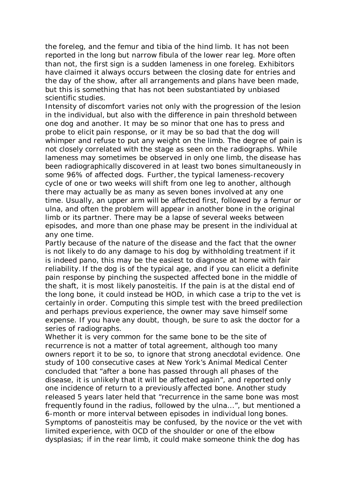the foreleg, and the femur and tibia of the hind limb. It has not been reported in the long but narrow fibula of the lower rear leg. More often than not, the first sign is a sudden lameness in one foreleg. Exhibitors have claimed it always occurs between the closing date for entries and the day of the show, after all arrangements and plans have been made, but this is something that has not been substantiated by unbiased scientific studies.

Intensity of discomfort varies not only with the progression of the lesion in the individual, but also with the difference in pain threshold between one dog and another. It may be so minor that one has to press and probe to elicit pain response, or it may be so bad that the dog will whimper and refuse to put any weight on the limb. The degree of pain is not closely correlated with the stage as seen on the radiographs. While lameness may sometimes be observed in only one limb, the disease has been radiographically discovered in at least two bones simultaneously in some 96% of affected dogs. Further, the typical lameness-recovery cycle of one or two weeks will shift from one leg to another, although there may actually be as many as seven bones involved at any one time. Usually, an upper arm will be affected first, followed by a femur or ulna, and often the problem will appear in another bone in the original limb or its partner. There may be a lapse of several weeks between episodes, and more than one phase may be present in the individual at any one time.

Partly because of the nature of the disease and the fact that the owner is not likely to do any damage to his dog by withholding treatment if it is indeed pano, this may be the easiest to diagnose at home with fair reliability. If the dog is of the typical age, and if you can elicit a definite pain response by pinching the suspected affected bone in the middle of the shaft, it is most likely panosteitis. If the pain is at the distal end of the long bone, it could instead be HOD, in which case a trip to the vet is certainly in order. Computing this simple test with the breed predilection and perhaps previous experience, the owner may save himself some expense. If you have any doubt, though, be sure to ask the doctor for a series of radiographs.

Whether it is very common for the same bone to be the site of recurrence is not a matter of total agreement, although too many owners report it to be so, to ignore that strong anecdotal evidence. One study of 100 consecutive cases at New York's Animal Medical Center concluded that "after a bone has passed through all phases of the disease, it is unlikely that it will be affected again", and reported only one incidence of return to a previously affected bone. Another study released 5 years later held that "recurrence in the same bone was most frequently found in the radius, followed by the ulna...", but mentioned a 6-month or more interval between episodes in individual long bones. Symptoms of panosteitis may be confused, by the novice or the vet with limited experience, with OCD of the shoulder or one of the elbow dysplasias; if in the rear limb, it could make someone think the dog has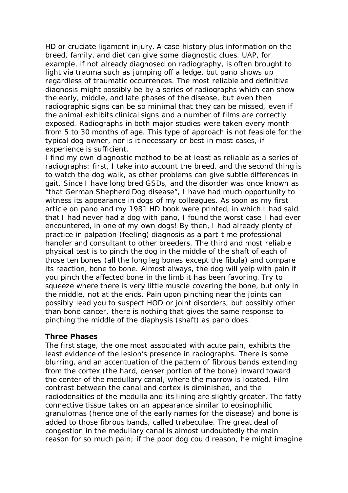HD or cruciate ligament injury. A case history plus information on the breed, family, and diet can give some diagnostic clues. UAP, for example, if not already diagnosed on radiography, is often brought to light via trauma such as jumping off a ledge, but pano shows up regardless of traumatic occurrences. The most reliable and definitive diagnosis might possibly be by a series of radiographs which can show the early, middle, and late phases of the disease, but even then radiographic signs can be so minimal that they can be missed, even if the animal exhibits clinical signs and a number of films are correctly exposed. Radiographs in both major studies were taken every month from 5 to 30 months of age. This type of approach is not feasible for the typical dog owner, nor is it necessary or best in most cases, if experience is sufficient.

I find my own diagnostic method to be at least as reliable as a series of radiographs: first, I take into account the breed, and the second thing is to watch the dog walk, as other problems can give subtle differences in gait. Since I have long bred GSDs, and the disorder was once known as "that German Shepherd Dog disease", I have had much opportunity to witness its appearance in dogs of my colleagues. As soon as my first article on pano and my 1981 HD book were printed, in which I had said that I had never had a dog with pano, I found the worst case I had ever encountered, in one of my own dogs! By then, I had already plenty of practice in palpation (feeling) diagnosis as a part-time professional handler and consultant to other breeders. The third and most reliable physical test is to pinch the dog in the middle of the shaft of each of those ten bones (all the long leg bones except the fibula) and compare its reaction, bone to bone. Almost always, the dog will yelp with pain if you pinch the affected bone in the limb it has been favoring. Try to squeeze where there is very little muscle covering the bone, but only in the middle, not at the ends. Pain upon pinching near the joints can possibly lead you to suspect HOD or joint disorders, but possibly other than bone cancer, there is nothing that gives the same response to pinching the middle of the diaphysis (shaft) as pano does.

#### **Three Phases**

The first stage, the one most associated with acute pain, exhibits the least evidence of the lesion's presence in radiographs. There is some blurring, and an accentuation of the pattern of fibrous bands extending from the cortex (the hard, denser portion of the bone) inward toward the center of the medullary canal, where the marrow is located. Film contrast between the canal and cortex is diminished, and the radiodensities of the medulla and its lining are slightly greater. The fatty connective tissue takes on an appearance similar to eosinophilic granulomas (hence one of the early names for the disease) and bone is added to those fibrous bands, called trabeculae. The great deal of congestion in the medullary canal is almost undoubtedly the main reason for so much pain; if the poor dog could reason, he might imagine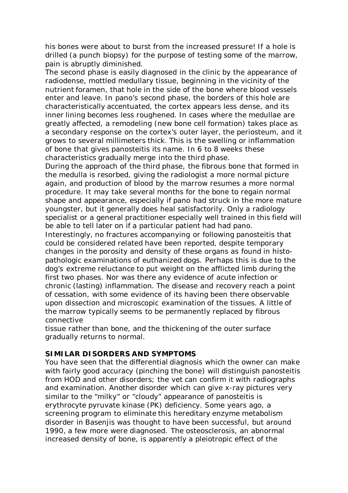his bones were about to burst from the increased pressure! If a hole is drilled (a punch biopsy) for the purpose of testing some of the marrow, pain is abruptly diminished.

The second phase is easily diagnosed in the clinic by the appearance of radiodense, mottled medullary tissue, beginning in the vicinity of the nutrient foramen, that hole in the side of the bone where blood vessels enter and leave. In pano's second phase, the borders of this hole are characteristically accentuated, the cortex appears less dense, and its inner lining becomes less roughened. In cases where the medullae are greatly affected, a remodeling (new bone cell formation) takes place as a secondary response on the cortex's outer layer, the periosteum, and it grows to several millimeters thick. This is the swelling or inflammation of bone that gives panosteitis its name. In 6 to 8 weeks these characteristics gradually merge into the third phase.

During the approach of the third phase, the fibrous bone that formed in the medulla is resorbed, giving the radiologist a more normal picture again, and production of blood by the marrow resumes a more normal procedure. It may take several months for the bone to regain normal shape and appearance, especially if pano had struck in the more mature youngster, but it generally does heal satisfactorily. Only a radiology specialist or a general practitioner especially well trained in this field will be able to tell later on if a particular patient had had pano.

Interestingly, no fractures accompanying or following panosteitis that could be considered related have been reported, despite temporary changes in the porosity and density of these organs as found in histopathologic examinations of euthanized dogs. Perhaps this is due to the dog's extreme reluctance to put weight on the afflicted limb during the first two phases. Nor was there any evidence of acute infection or chronic (lasting) inflammation. The disease and recovery reach a point of cessation, with some evidence of its having been there observable upon dissection and microscopic examination of the tissues. A little of the marrow typically seems to be permanently replaced by fibrous connective

tissue rather than bone, and the thickening of the outer surface gradually returns to normal.

# **SIMILAR DISORDERS AND SYMPTOMS**

You have seen that the differential diagnosis which the owner can make with fairly good accuracy (pinching the bone) will distinguish panosteitis from HOD and other disorders; the vet can confirm it with radiographs and examination. Another disorder which can give x-ray pictures very similar to the "milky" or "cloudy" appearance of panosteitis is erythrocyte pyruvate kinase (PK) deficiency. Some years ago, a screening program to eliminate this hereditary enzyme metabolism disorder in Basenjis was thought to have been successful, but around 1990, a few more were diagnosed. The osteosclerosis, an abnormal increased density of bone, is apparently a pleiotropic effect of the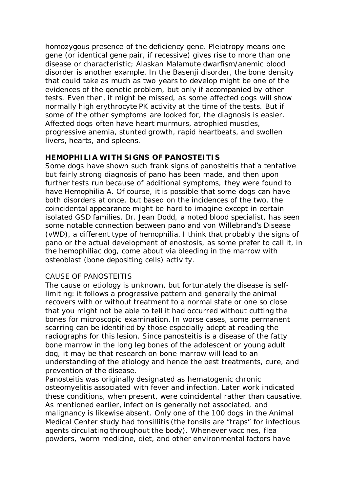homozygous presence of the deficiency gene. Pleiotropy means one gene (or identical gene pair, if recessive) gives rise to more than one disease or characteristic; Alaskan Malamute dwarfism/anemic blood disorder is another example. In the Basenji disorder, the bone density that could take as much as two years to develop might be one of the evidences of the genetic problem, but only if accompanied by other tests. Even then, it might be missed, as some affected dogs will show normally high erythrocyte PK activity at the time of the tests. But if some of the other symptoms are looked for, the diagnosis is easier. Affected dogs often have heart murmurs, atrophied muscles, progressive anemia, stunted growth, rapid heartbeats, and swollen livers, hearts, and spleens.

## **HEMOPHILIA WITH SIGNS OF PANOSTEITIS**

Some dogs have shown such frank signs of panosteitis that a tentative but fairly strong diagnosis of pano has been made, and then upon further tests run because of additional symptoms, they were found to have Hemophilia A. Of course, it is possible that some dogs can have both disorders at once, but based on the incidences of the two, the coincidental appearance might be hard to imagine except in certain isolated GSD families. Dr. Jean Dodd, a noted blood specialist, has seen some notable connection between pano and von Willebrand's Disease (vWD), a different type of hemophilia. I think that probably the signs of pano or the actual development of enostosis, as some prefer to call it, in the hemophiliac dog, come about via bleeding in the marrow with osteoblast (bone depositing cells) activity.

#### CAUSE OF PANOSTEITIS

The cause or etiology is unknown, but fortunately the disease is selflimiting: it follows a progressive pattern and generally the animal recovers with or without treatment to a normal state or one so close that you might not be able to tell it had occurred without cutting the bones for microscopic examination. In worse cases, some permanent scarring can be identified by those especially adept at reading the radiographs for this lesion. Since panosteitis is a disease of the fatty bone marrow in the long leg bones of the adolescent or young adult dog, it may be that research on bone marrow will lead to an understanding of the etiology and hence the best treatments, cure, and prevention of the disease.

Panosteitis was originally designated as hematogenic chronic osteomyelitis associated with fever and infection. Later work indicated these conditions, when present, were coincidental rather than causative. As mentioned earlier, infection is generally not associated, and malignancy is likewise absent. Only one of the 100 dogs in the Animal Medical Center study had tonsillitis (the tonsils are "traps" for infectious agents circulating throughout the body). Whenever vaccines, flea powders, worm medicine, diet, and other environmental factors have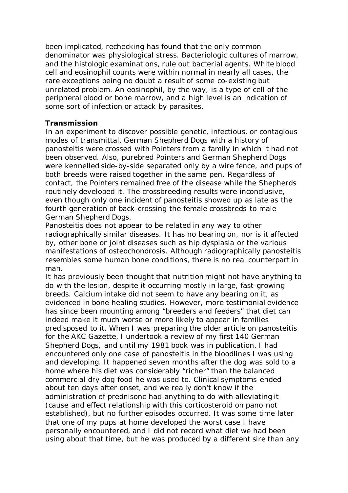been implicated, rechecking has found that the only common denominator was physiological stress. Bacteriologic cultures of marrow, and the histologic examinations, rule out bacterial agents. White blood cell and eosinophil counts were within normal in nearly all cases, the rare exceptions being no doubt a result of some co-existing but unrelated problem. An eosinophil, by the way, is a type of cell of the peripheral blood or bone marrow, and a high level is an indication of some sort of infection or attack by parasites.

### **Transmission**

In an experiment to discover possible genetic, infectious, or contagious modes of transmittal, German Shepherd Dogs with a history of panosteitis were crossed with Pointers from a family in which it had not been observed. Also, purebred Pointers and German Shepherd Dogs were kennelled side-by-side separated only by a wire fence, and pups of both breeds were raised together in the same pen. Regardless of contact, the Pointers remained free of the disease while the Shepherds routinely developed it. The crossbreeding results were inconclusive, even though only one incident of panosteitis showed up as late as the fourth generation of back-crossing the female crossbreds to male German Shepherd Dogs.

Panosteitis does not appear to be related in any way to other radiographically similar diseases. It has no bearing on, nor is it affected by, other bone or joint diseases such as hip dysplasia or the various manifestations of osteochondrosis. Although radiographically panosteitis resembles some human bone conditions, there is no real counterpart in man.

It has previously been thought that nutrition might not have anything to do with the lesion, despite it occurring mostly in large, fast-growing breeds. Calcium intake did not seem to have any bearing on it, as evidenced in bone healing studies. However, more testimonial evidence has since been mounting among "breeders and feeders" that diet can indeed make it much worse or more likely to appear in families predisposed to it. When I was preparing the older article on panosteitis for the AKC Gazette, I undertook a review of my first 140 German Shepherd Dogs, and until my 1981 book was in publication, I had encountered only one case of panosteitis in the bloodlines I was using and developing. It happened seven months after the dog was sold to a home where his diet was considerably "richer" than the balanced commercial dry dog food he was used to. Clinical symptoms ended about ten days after onset, and we really don't know if the administration of prednisone had anything to do with alleviating it (cause and effect relationship with this corticosteroid on pano not established), but no further episodes occurred. It was some time later that one of my pups at home developed the worst case I have personally encountered, and I did not record what diet we had been using about that time, but he was produced by a different sire than any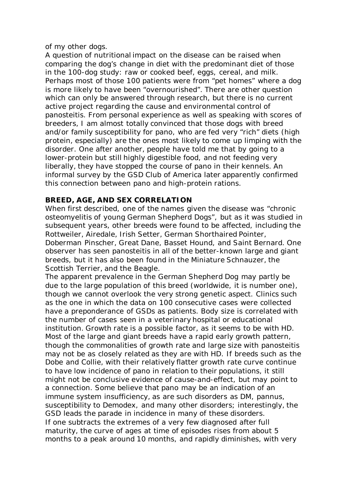of my other dogs.

A question of nutritional impact on the disease can be raised when comparing the dog's change in diet with the predominant diet of those in the 100-dog study: raw or cooked beef, eggs, cereal, and milk. Perhaps most of those 100 patients were from "pet homes" where a dog is more likely to have been "overnourished". There are other question which can only be answered through research, but there is no current active project regarding the cause and environmental control of panosteitis. From personal experience as well as speaking with scores of breeders, I am almost totally convinced that those dogs with breed and/or family susceptibility for pano, who are fed very "rich" diets (high protein, especially) are the ones most likely to come up limping with the disorder. One after another, people have told me that by going to a lower-protein but still highly digestible food, and not feeding very liberally, they have stopped the course of pano in their kennels. An informal survey by the GSD Club of America later apparently confirmed this connection between pano and high-protein rations.

# **BREED, AGE, AND SEX CORRELATION**

When first described, one of the names given the disease was "chronic osteomyelitis of young German Shepherd Dogs", but as it was studied in subsequent years, other breeds were found to be affected, including the Rottweiler, Airedale, Irish Setter, German Shorthaired Pointer, Doberman Pinscher, Great Dane, Basset Hound, and Saint Bernard. One observer has seen panosteitis in all of the better-known large and giant breeds, but it has also been found in the Miniature Schnauzer, the Scottish Terrier, and the Beagle.

The apparent prevalence in the German Shepherd Dog may partly be due to the large population of this breed (worldwide, it is number one), though we cannot overlook the very strong genetic aspect. Clinics such as the one in which the data on 100 consecutive cases were collected have a preponderance of GSDs as patients. Body size is correlated with the number of cases seen in a veterinary hospital or educational institution. Growth rate is a possible factor, as it seems to be with HD. Most of the large and giant breeds have a rapid early growth pattern, though the commonalities of growth rate and large size with panosteitis may not be as closely related as they are with HD. If breeds such as the Dobe and Collie, with their relatively flatter growth rate curve continue to have low incidence of pano in relation to their populations, it still might not be conclusive evidence of cause-and-effect, but may point to a connection. Some believe that pano may be an indication of an immune system insufficiency, as are such disorders as DM, pannus, susceptibility to Demodex, and many other disorders; interestingly, the GSD leads the parade in incidence in many of these disorders. If one subtracts the extremes of a very few diagnosed after full maturity, the curve of ages at time of episodes rises from about 5 months to a peak around 10 months, and rapidly diminishes, with very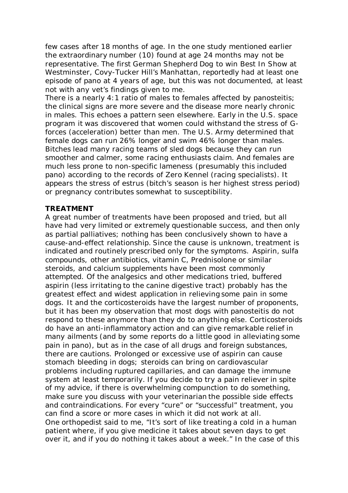few cases after 18 months of age. In the one study mentioned earlier the extraordinary number (10) found at age 24 months may not be representative. The first German Shepherd Dog to win Best In Show at Westminster, Covy-Tucker Hill's Manhattan, reportedly had at least one episode of pano at 4 years of age, but this was not documented, at least not with any vet's findings given to me.

There is a nearly 4:1 ratio of males to females affected by panosteitis; the clinical signs are more severe and the disease more nearly chronic in males. This echoes a pattern seen elsewhere. Early in the U.S. space program it was discovered that women could withstand the stress of Gforces (acceleration) better than men. The U.S. Army determined that female dogs can run 26% longer and swim 46% longer than males. Bitches lead many racing teams of sled dogs because they can run smoother and calmer, some racing enthusiasts claim. And females are much less prone to non-specific lameness (presumably this included pano) according to the records of Zero Kennel (racing specialists). It appears the stress of estrus (bitch's season is her highest stress period) or pregnancy contributes somewhat to susceptibility.

#### **TREATMENT**

A great number of treatments have been proposed and tried, but all have had very limited or extremely questionable success, and then only as partial palliatives; nothing has been conclusively shown to have a cause-and-effect relationship. Since the cause is unknown, treatment is indicated and routinely prescribed only for the symptoms. Aspirin, sulfa compounds, other antibiotics, vitamin C, Prednisolone or similar steroids, and calcium supplements have been most commonly attempted. Of the analgesics and other medications tried, buffered aspirin (less irritating to the canine digestive tract) probably has the greatest effect and widest application in relieving some pain in some dogs. It and the corticosteroids have the largest number of proponents, but it has been my observation that most dogs with panosteitis do not respond to these anymore than they do to anything else. Corticosteroids do have an anti-inflammatory action and can give remarkable relief in many ailments (and by some reports do a little good in alleviating some pain in pano), but as in the case of all drugs and foreign substances, there are cautions. Prolonged or excessive use of aspirin can cause stomach bleeding in dogs; steroids can bring on cardiovascular problems including ruptured capillaries, and can damage the immune system at least temporarily. If you decide to try a pain reliever in spite of my advice, if there is overwhelming compunction to do something, make sure you discuss with your veterinarian the possible side effects and contraindications. For every "cure" or "successful" treatment, you can find a score or more cases in which it did not work at all. One orthopedist said to me, "It's sort of like treating a cold in a human patient where, if you give medicine it takes about seven days to get over it, and if you do nothing it takes about a week." In the case of this